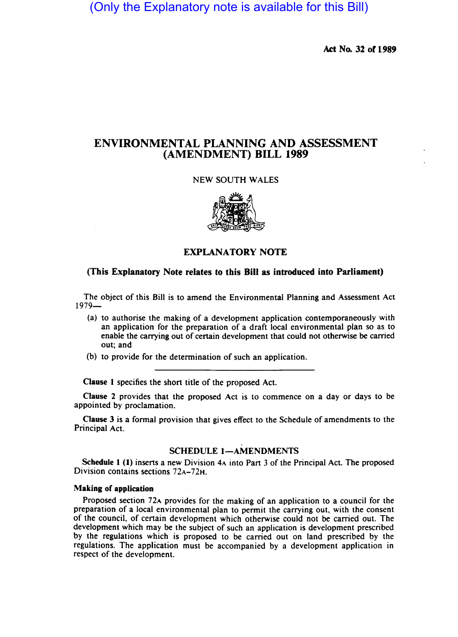# (Only the Explanatory note is available for this Bill)

Act No. 32 of 1989

## ENVIRONMENTAL PLANNING AND ASSESSMENT (AMENDMENT) BILL 1989

## NEW SOUTH WALES



EXPLANATORY NOTE

## (This Explanatory Note relates to this Bill as introduced into Parliament)

The object of this Bill is to amend the Environmental Planning and Assessment Act  $1979-$ 

- (a) to authorise the making of a development application contemporaneously with an application for the preparation of a draft local environmental plan so as to enable the carrying out of certain development that could not otherwise be carried out; and
- (b) to provide for the determination of such an application.

Clause 1 specifies the short title of the proposed Act.

Clause 2 provides that the proposed Act is to commence on a day or days to be appointed by proclamation.

Clause 3 is a formal provision that gives effect to the Schedule of amendments to the Principal Act.

## SCHEDULE 1-AMENDMENTS

Schedule 1 (1) inserts a new Division 4A into Part 3 of the Principal Act. The proposed Division contains sections 72A-72H.

#### Making of application

Proposed section 72A provides for the making of an application to a council for the preparation of a local environmental plan to permit the carrying out, with the consent of the council, of certain development which otherwise could not be carried out. The development which may be the subject of such an application is development prescribed by the regulations which is proposed to be carried out on land prescribed by the regulations. The application must be accompanied by a development application in respect of the development.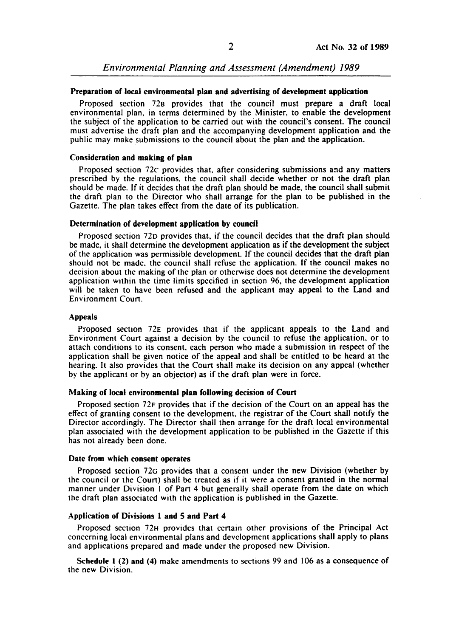*Environmental Planning and Assessment (Amendment) 1989* 

### Preparation of local environmental plan and advertising of development application

Proposed section 728 provides that the council must prepare a draft local environmental plan, in terms determined by the Minister, to enable the development the subject of the application to be carried out with the council's consent. The council must advertise the draft plan and the accompanying development application and the public may make submissions to the council about the plan and the application.

## Consideration and making of plan

Proposed section 72c provides that, after considering submissions and any matters prescribed by the regulations, the council shall decide whether or not the draft plan should be made. If it decides that the draft plan should be made, the council shall submit the draft plan to the Director who shall arrange for the plan to be published in the Gazette. The plan takes effect from the date of its publication.

## Determination of development application by council

Proposed section 72D provides that, if the council decides that the draft plan should be made, it shall determine the development application as if the development the subject of the application was permissible development. If the council decides that the draft plan should not be made, the council shall refuse the application. If the council makes no decision about the making of the plan or otherwise does not determine the development application within the time limits specified in section 96, the development application will be taken to have been refused and the applicant may appeal to the Land and Environment Court.

#### Appeals

Proposed section 72E provides that if the applicant appeals to the Land and Environment Court against a decision by the council to refuse the application, or to attach conditions to its consent. each person who made a submission in respect of the application shall be given notice of the appeal and shall be entitled to be heard at the hearing. It also provides that the Court shall make its decision on any appeal (whether by the applicant or by an objector) as if the draft plan were in force.

### Making of local environmental plan following decision of Court

Proposed section 72F provides that if the decision of the Court on an appeal has the effect of granting consent to the development, the registrar of the Court shall notify the Director accordingly. The Director shall then arrange for the draft local environmental plan associated with the development application to be published in the Gazette if this has not already been done.

#### Date from which consent operates

Proposed section 72G provides that a consent under the new Division (whether by the council or the Court) shall be treated as if it were a consent granted in the normal manner under Division I of Part 4 but generally shall operate from the date on which the draft plan associated with the application is published in the Gazette.

## Application of Divisions I and 5 and Part 4

Proposed section 72H provides that certain other provisions of the Principal Act concerning local environmental plans and development applications shall apply to plans and applications prepared and made under the proposed new Division.

Schedule I (2) and (4) make amendments to sections 99 and 106 as a consequence of the new Division.